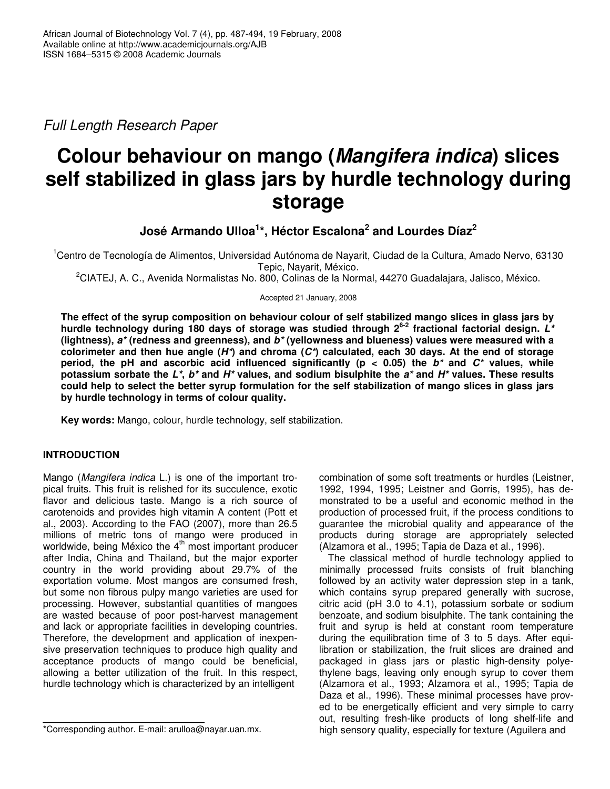*Full Length Research Paper*

# **Colour behaviour on mango (***Mangifera indica***) slices self stabilized in glass jars by hurdle technology during storage**

**José Armando Ulloa 1 \*, Héctor Escalona 2 and Lourdes Díaz 2**

<sup>1</sup>Centro de Tecnología de Alimentos, Universidad Autónoma de Nayarit, Ciudad de la Cultura, Amado Nervo, 63130 Tepic, Nayarit, México.

<sup>2</sup>CIATEJ, A. C., Avenida Normalistas No. 800, Colinas de la Normal, 44270 Guadalajara, Jalisco, México.

Accepted 21 January, 2008

The effect of the syrup composition on behaviour colour of self stabilized mango slices in glass jars by **hurdle technology during 180 days of storage was studied through 2 6-2 fractional factorial design.** *L\** **(lightness),** *a\** **(redness and greenness), and** *b\** **(yellowness and blueness) values were measured with a** colorimeter and then hue angle  $(H^*)$  and chroma  $(C^*)$  calculated, each 30 days. At the end of storage **period, the pH and ascorbic acid influenced significantly (p < 0.05) the** *b\** **and** *C\** **values, while** potassium sorbate the  $L^*$ ,  $b^*$  and  $H^*$  values, and sodium bisulphite the  $a^*$  and  $H^*$  values. These results could help to select the better syrup formulation for the self stabilization of mango slices in glass jars **by hurdle technology in terms of colour quality.**

**Key words:** Mango, colour, hurdle technology, self stabilization.

# **INTRODUCTION**

Mango (*Mangifera indica* L.) is one of the important tropical fruits. This fruit is relished for its succulence, exotic flavor and delicious taste. Mango is a rich source of carotenoids and provides high vitamin A content (Pott et al., 2003). According to the FAO (2007), more than 26.5 millions of metric tons of mango were produced in worldwide, being México the 4<sup>th</sup> most important producer after India, China and Thailand, but the major exporter country in the world providing about 29.7% of the exportation volume. Most mangos are consumed fresh, but some non fibrous pulpy mango varieties are used for processing. However, substantial quantities of mangoes are wasted because of poor post-harvest management and lack or appropriate facilities in developing countries. Therefore, the development and application of inexpensive preservation techniques to produce high quality and acceptance products of mango could be beneficial, allowing a better utilization of the fruit. In this respect, hurdle technology which is characterized by an intelligent

combination of some soft treatments or hurdles (Leistner, 1992, 1994, 1995; Leistner and Gorris, 1995), has demonstrated to be a useful and economic method in the production of processed fruit, if the process conditions to guarantee the microbial quality and appearance of the products during storage are appropriately selected (Alzamora et al., 1995; Tapia de Daza et al., 1996).

The classical method of hurdle technology applied to minimally processed fruits consists of fruit blanching followed by an activity water depression step in a tank, which contains syrup prepared generally with sucrose, citric acid (pH 3.0 to 4.1), potassium sorbate or sodium benzoate, and sodium bisulphite. The tank containing the fruit and syrup is held at constant room temperature during the equilibration time of 3 to 5 days. After equilibration or stabilization, the fruit slices are drained and packaged in glass jars or plastic high-density polyethylene bags, leaving only enough syrup to cover them (Alzamora et al., 1993; Alzamora et al., 1995; Tapia de Daza et al., 1996). These minimal processes have proved to be energetically efficient and very simple to carry out, resulting fresh-like products of long shelf-life and high sensory quality, especially for texture (Aguilera and

<sup>\*</sup>Corresponding author. E-mail: arulloa@nayar.uan.mx.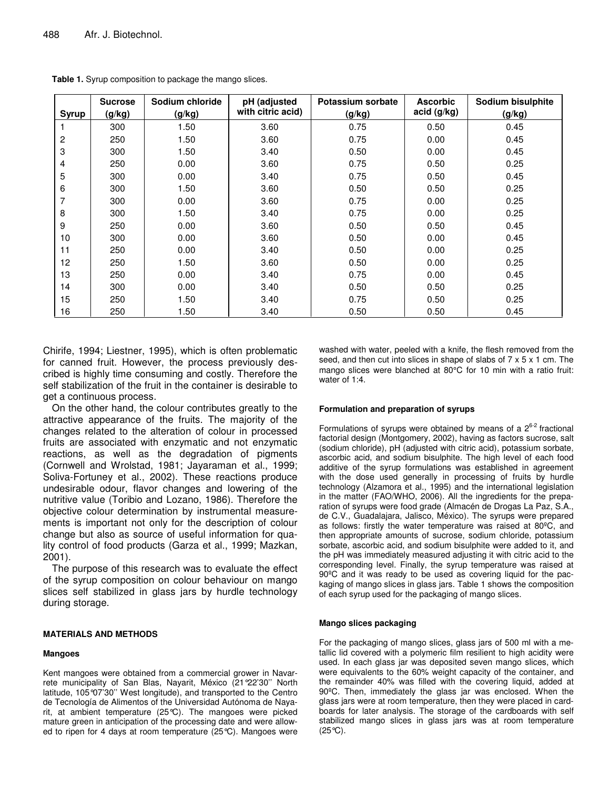| <b>Syrup</b> | <b>Sucrose</b><br>(g/kg) | Sodium chloride<br>(g/kg) | pH (adjusted<br>with citric acid) | Potassium sorbate<br>(g/kg) | <b>Ascorbic</b><br>acid (g/kg) | Sodium bisulphite<br>(g/kg) |
|--------------|--------------------------|---------------------------|-----------------------------------|-----------------------------|--------------------------------|-----------------------------|
|              | 300                      | 1.50                      | 3.60                              | 0.75                        | 0.50                           | 0.45                        |
| 2            | 250                      | 1.50                      | 3.60                              | 0.75                        | 0.00                           | 0.45                        |
| 3            | 300                      | 1.50                      | 3.40                              | 0.50                        | 0.00                           | 0.45                        |
| 4            | 250                      | 0.00                      | 3.60                              | 0.75                        | 0.50                           | 0.25                        |
| 5            | 300                      | 0.00                      | 3.40                              | 0.75                        | 0.50                           | 0.45                        |
| 6            | 300                      | 1.50                      | 3.60                              | 0.50                        | 0.50                           | 0.25                        |
|              | 300                      | 0.00                      | 3.60                              | 0.75                        | 0.00                           | 0.25                        |
| 8            | 300                      | 1.50                      | 3.40                              | 0.75                        | 0.00                           | 0.25                        |
| 9            | 250                      | 0.00                      | 3.60                              | 0.50                        | 0.50                           | 0.45                        |
| 10           | 300                      | 0.00                      | 3.60                              | 0.50                        | 0.00                           | 0.45                        |
| 11           | 250                      | 0.00                      | 3.40                              | 0.50                        | 0.00                           | 0.25                        |
| 12           | 250                      | 1.50                      | 3.60                              | 0.50                        | 0.00                           | 0.25                        |
| 13           | 250                      | 0.00                      | 3.40                              | 0.75                        | 0.00                           | 0.45                        |
| 14           | 300                      | 0.00                      | 3.40                              | 0.50                        | 0.50                           | 0.25                        |
| 15           | 250                      | 1.50                      | 3.40                              | 0.75                        | 0.50                           | 0.25                        |
| 16           | 250                      | 1.50                      | 3.40                              | 0.50                        | 0.50                           | 0.45                        |

**Table 1.** Syrup composition to package the mango slices.

Chirife, 1994; Liestner, 1995), which is often problematic for canned fruit. However, the process previously described is highly time consuming and costly. Therefore the self stabilization of the fruit in the container is desirable to get a continuous process.

On the other hand, the colour contributes greatly to the attractive appearance of the fruits. The majority of the changes related to the alteration of colour in processed fruits are associated with enzymatic and not enzymatic reactions, as well as the degradation of pigments (Cornwell and Wrolstad, 1981; Jayaraman et al., 1999; Soliva-Fortuney et al., 2002). These reactions produce undesirable odour, flavor changes and lowering of the nutritive value (Toribio and Lozano, 1986). Therefore the objective colour determination by instrumental measurements is important not only for the description of colour change but also as source of useful information for quality control of food products (Garza et al., 1999; Mazkan, 2001).

The purpose of this research was to evaluate the effect of the syrup composition on colour behaviour on mango slices self stabilized in glass jars by hurdle technology during storage.

#### **MATERIALS AND METHODS**

#### **Mangoes**

Kent mangoes were obtained from a commercial grower in Navarrete municipality of San Blas, Nayarit, México (21°22'30'' North latitude, 105°07'30'' West longitude), and transported to the Centro de Tecnología de Alimentos of the Universidad Autónoma de Nayarit, at ambient temperature (25°C). The mangoes were picked mature green in anticipation of the processing date and were allowed to ripen for 4 days at room temperature (25°C). Mangoes were washed with water, peeled with a knife, the flesh removed from the seed, and then cut into slices in shape of slabs of 7 x 5 x 1 cm. The mango slices were blanched at 80°C for 10 min with a ratio fruit: water of 1:4

#### **Formulation and preparation of syrups**

Formulations of syrups were obtained by means of a  $2^{6-2}$  fractional factorial design (Montgomery, 2002), having as factors sucrose, salt (sodium chloride), pH (adjusted with citric acid), potassium sorbate, ascorbic acid, and sodium bisulphite. The high level of each food additive of the syrup formulations was established in agreement with the dose used generally in processing of fruits by hurdle technology (Alzamora et al., 1995) and the international legislation in the matter (FAO/WHO, 2006). All the ingredients for the preparation of syrups were food grade (Almacén de Drogas La Paz, S.A., de C.V., Guadalajara, Jalisco, México). The syrups were prepared as follows: firstly the water temperature was raised at 80ºC, and then appropriate amounts of sucrose, sodium chloride, potassium sorbate, ascorbic acid, and sodium bisulphite were added to it, and the pH was immediately measured adjusting it with citric acid to the corresponding level. Finally, the syrup temperature was raised at 90ºC and it was ready to be used as covering liquid for the packaging of mango slices in glass jars. Table 1 shows the composition of each syrup used for the packaging of mango slices.

#### **Mango slices packaging**

For the packaging of mango slices, glass jars of 500 ml with a metallic lid covered with a polymeric film resilient to high acidity were used. In each glass jar was deposited seven mango slices, which were equivalents to the 60% weight capacity of the container, and the remainder 40% was filled with the covering liquid, added at 90ºC. Then, immediately the glass jar was enclosed. When the glass jars were at room temperature, then they were placed in cardboards for later analysis. The storage of the cardboards with self stabilized mango slices in glass jars was at room temperature  $(25^{\circ}\text{C})$ .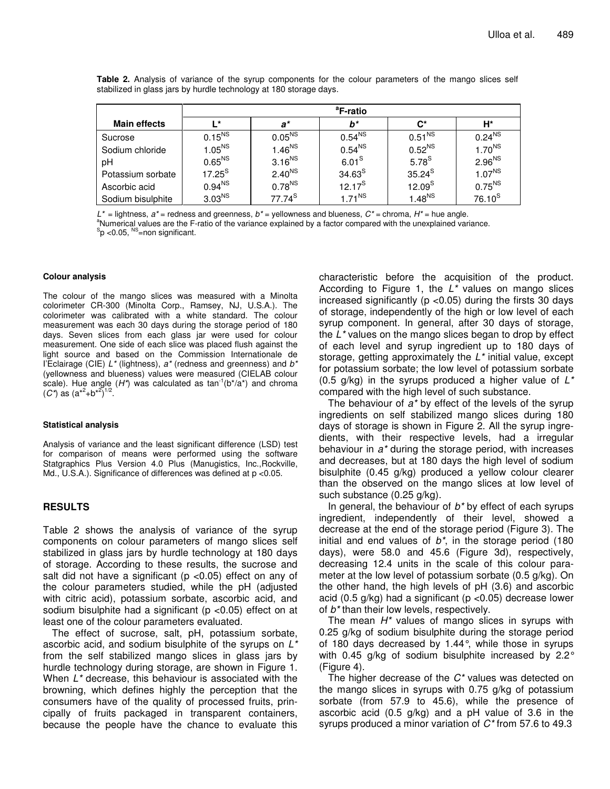|                     | <sup>a</sup> F-ratio |                    |                    |                    |                    |  |  |
|---------------------|----------------------|--------------------|--------------------|--------------------|--------------------|--|--|
| <b>Main effects</b> | ∎ ∗                  | a*                 | b*                 | $\mathbf{C}^*$     | H*                 |  |  |
| Sucrose             | $0.15^{NS}$          | 0.05 <sup>NS</sup> | 0.54 <sup>NS</sup> | 0.51 <sup>NS</sup> | $0.24^{NS}$        |  |  |
| Sodium chloride     | 1.05 <sup>NS</sup>   | 1.46 <sup>NS</sup> | 0.54 <sup>NS</sup> | 0.52 <sup>NS</sup> | 1.70 <sup>NS</sup> |  |  |
| рH                  | 0.65 <sup>NS</sup>   | 3.16 <sup>NS</sup> | 6.01 <sup>S</sup>  | 5.78 <sup>S</sup>  | 2.96 <sup>NS</sup> |  |  |
| Potassium sorbate   | $17.25^{\text{S}}$   | 2.40 <sup>NS</sup> | 34.63 <sup>S</sup> | $35.24^{\text{S}}$ | $1.07^{NS}$        |  |  |
| Ascorbic acid       | $0.94^{NS}$          | $0.78^{NS}$        | $12.17^{S}$        | 12.09 <sup>S</sup> | 0.75 <sup>NS</sup> |  |  |
| Sodium bisulphite   | 3.03 <sup>NS</sup>   | $77.74^{\text{S}}$ | $1.71^{NS}$        | 1.48 <sup>NS</sup> | $76.10^{S}$        |  |  |

**Table 2.** Analysis of variance of the syrup components for the colour parameters of the mango slices self stabilized in glass jars by hurdle technology at 180 storage days.

*L\** = lightness, *a\** = redness and greenness, *b\** = yellowness and blueness, *C\** = chroma, *H\** = hue angle. <sup>a</sup>Numerical values are the F-ratio of the variance explained by a factor compared with the unexplained variance.  $\mathrm{^{S}p}$  <0.05,  $\mathrm{^{NS}}$ =non significant.

#### **Colour analysis**

The colour of the mango slices was measured with a Minolta colorimeter CR-300 (Minolta Corp., Ramsey, NJ, U.S.A.). The colorimeter was calibrated with a white standard. The colour measurement was each 30 days during the storage period of 180 days. Seven slices from each glass jar were used for colour measurement. One side of each slice was placed flush against the light source and based on the Commission Internationale de I'Eclairage (CIE) *L\** (lightness), *a\** (redness and greenness) and *b\** (yellowness and blueness) values were measured (CIELAB colour scale). Hue angle  $(H^*)$  was calculated as  $\tan^{-1}(b^*/a^*)$  and chroma  $(C^*)$  as  $(a^{*2}+b^{*2})^{1/2}$ .

#### **Statistical analysis**

Analysis of variance and the least significant difference (LSD) test for comparison of means were performed using the software Statgraphics Plus Version 4.0 Plus (Manugistics, Inc.,Rockville, Md., U.S.A.). Significance of differences was defined at p <0.05.

# **RESULTS**

Table 2 shows the analysis of variance of the syrup components on colour parameters of mango slices self stabilized in glass jars by hurdle technology at 180 days of storage. According to these results, the sucrose and salt did not have a significant ( $p$  <0.05) effect on any of the colour parameters studied, while the pH (adjusted with citric acid), potassium sorbate, ascorbic acid, and sodium bisulphite had a significant ( $p$  <0.05) effect on at least one of the colour parameters evaluated.

The effect of sucrose, salt, pH, potassium sorbate, ascorbic acid, and sodium bisulphite of the syrups on *L\** from the self stabilized mango slices in glass jars by hurdle technology during storage, are shown in Figure 1. When *L\** decrease, this behaviour is associated with the browning, which defines highly the perception that the consumers have of the quality of processed fruits, principally of fruits packaged in transparent containers, because the people have the chance to evaluate this characteristic before the acquisition of the product. According to Figure 1, the *L\** values on mango slices increased significantly ( $p$  < 0.05) during the firsts 30 days of storage, independently of the high or low level of each syrup component. In general, after 30 days of storage, the *L\** values on the mango slices began to drop by effect of each level and syrup ingredient up to 180 days of storage, getting approximately the *L\** initial value, except for potassium sorbate; the low level of potassium sorbate (0.5 g/kg) in the syrups produced a higher value of *L\** compared with the high level of such substance.

The behaviour of *a\** by effect of the levels of the syrup ingredients on self stabilized mango slices during 180 days of storage is shown in Figure 2. All the syrup ingredients, with their respective levels, had a irregular behaviour in *a\** during the storage period, with increases and decreases, but at 180 days the high level of sodium bisulphite (0.45 g/kg) produced a yellow colour clearer than the observed on the mango slices at low level of such substance (0.25 g/kg).

In general, the behaviour of *b\** by effect of each syrups ingredient, independently of their level, showed a decrease at the end of the storage period (Figure 3). The initial and end values of *b\**, in the storage period (180 days), were 58.0 and 45.6 (Figure 3d), respectively, decreasing 12.4 units in the scale of this colour parameter at the low level of potassium sorbate (0.5 g/kg). On the other hand, the high levels of pH (3.6) and ascorbic acid (0.5 g/kg) had a significant (p <0.05) decrease lower of *b\** than their low levels, respectively.

The mean *H\** values of mango slices in syrups with 0.25 g/kg of sodium bisulphite during the storage period of 180 days decreased by 1.44°, while those in syrups with 0.45 g/kg of sodium bisulphite increased by 2.2° (Figure 4).

The higher decrease of the *C\** values was detected on the mango slices in syrups with 0.75 g/kg of potassium sorbate (from 57.9 to 45.6), while the presence of ascorbic acid (0.5 g/kg) and a pH value of 3.6 in the syrups produced a minor variation of *C\** from 57.6 to 49.3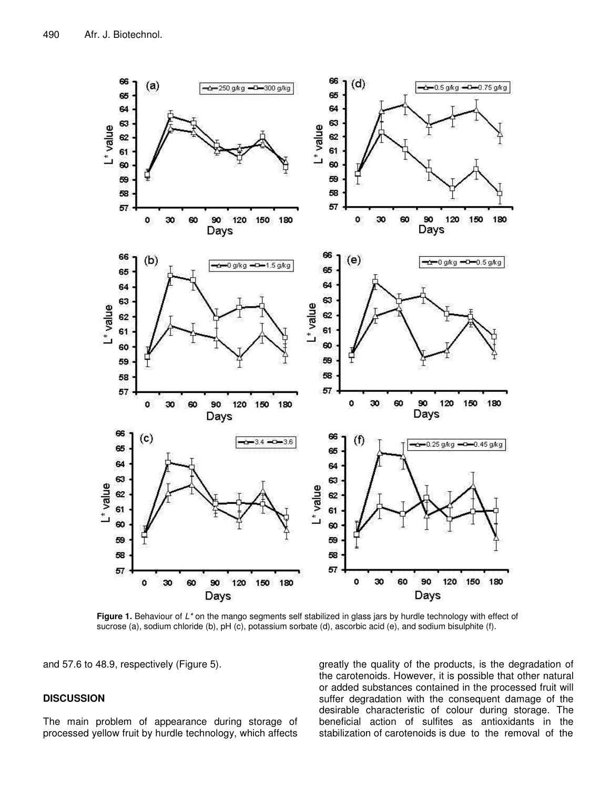

**Figure 1.** Behaviour of *L\** on the mango segments self stabilized in glass jars by hurdle technology with effect of sucrose (a), sodium chloride (b), pH (c), potassium sorbate (d), ascorbic acid (e), and sodium bisulphite (f).

and 57.6 to 48.9, respectively (Figure 5).

# **DISCUSSION**

The main problem of appearance during storage of processed yellow fruit by hurdle technology, which affects

greatly the quality of the products, is the degradation of the carotenoids. However, it is possible that other natural or added substances contained in the processed fruit will suffer degradation with the consequent damage of the desirable characteristic of colour during storage. The beneficial action of sulfites as antioxidants in the stabilization of carotenoids is due to the removal of the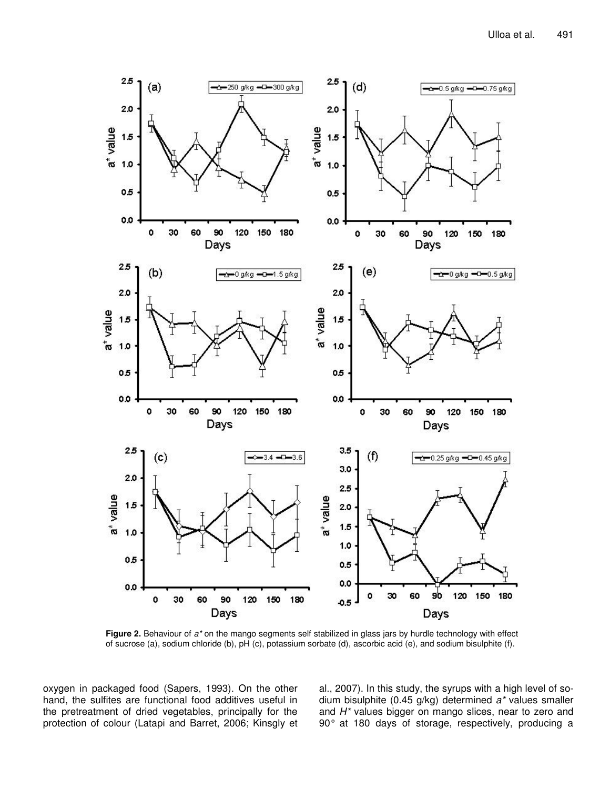

**Figure 2.** Behaviour of *a\** on the mango segments self stabilized in glass jars by hurdle technology with effect of sucrose (a), sodium chloride (b), pH (c), potassium sorbate (d), ascorbic acid (e), and sodium bisulphite (f).

oxygen in packaged food (Sapers, 1993). On the other hand, the sulfites are functional food additives useful in the pretreatment of dried vegetables, principally for the protection of colour (Latapi and Barret, 2006; Kinsgly et al., 2007). In this study, the syrups with a high level of sodium bisulphite (0.45 g/kg) determined *a\** values smaller and *H\** values bigger on mango slices, near to zero and 90° at 180 days of storage, respectively, producing a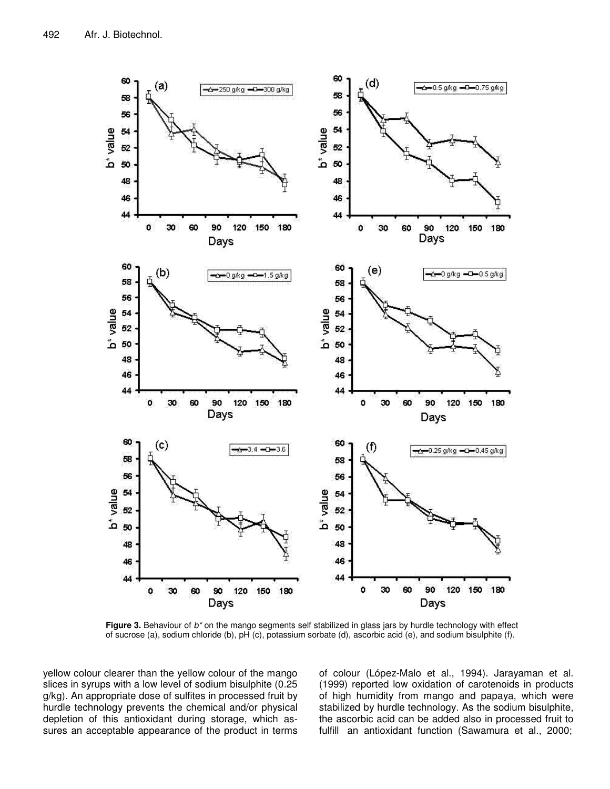

**Figure 3.** Behaviour of *b\** on the mango segments self stabilized in glass jars by hurdle technology with effect of sucrose (a), sodium chloride (b), pH (c), potassium sorbate (d), ascorbic acid (e), and sodium bisulphite (f).

yellow colour clearer than the yellow colour of the mango slices in syrups with a low level of sodium bisulphite (0.25 g/kg). An appropriate dose of sulfites in processed fruit by hurdle technology prevents the chemical and/or physical depletion of this antioxidant during storage, which assures an acceptable appearance of the product in terms

of colour (López-Malo et al., 1994). Jarayaman et al. (1999) reported low oxidation of carotenoids in products of high humidity from mango and papaya, which were stabilized by hurdle technology. As the sodium bisulphite, the ascorbic acid can be added also in processed fruit to fulfill an antioxidant function (Sawamura et al., 2000;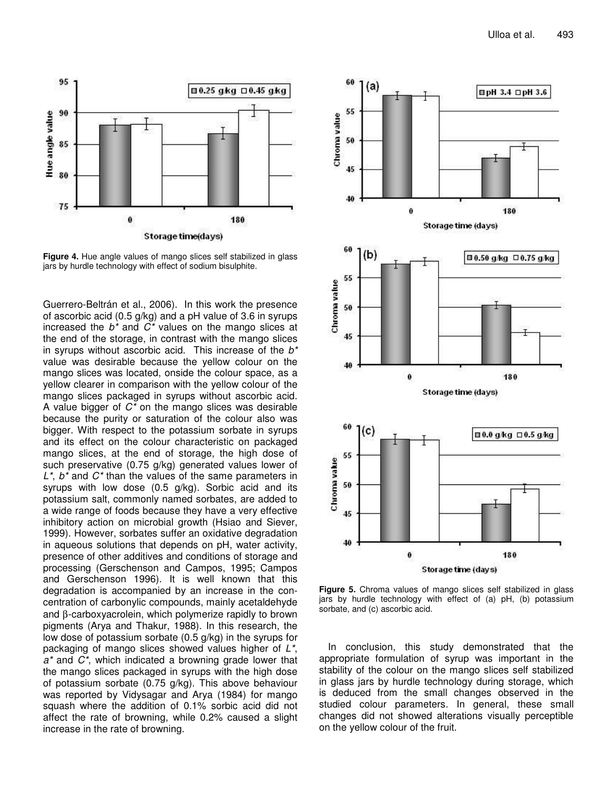

**Figure 4.** Hue angle values of mango slices self stabilized in glass jars by hurdle technology with effect of sodium bisulphite.

Guerrero-Beltrán et al., 2006). In this work the presence of ascorbic acid (0.5 g/kg) and a pH value of 3.6 in syrups increased the *b\** and *C\** values on the mango slices at the end of the storage, in contrast with the mango slices in syrups without ascorbic acid. This increase of the *b\** value was desirable because the yellow colour on the mango slices was located, onside the colour space, as a yellow clearer in comparison with the yellow colour of the mango slices packaged in syrups without ascorbic acid. A value bigger of *C\** on the mango slices was desirable because the purity or saturation of the colour also was bigger. With respect to the potassium sorbate in syrups and its effect on the colour characteristic on packaged mango slices, at the end of storage, the high dose of such preservative (0.75 g/kg) generated values lower of *L\**, *b\** and *C\** than the values of the same parameters in syrups with low dose (0.5 g/kg). Sorbic acid and its potassium salt, commonly named sorbates, are added to a wide range of foods because they have a very effective inhibitory action on microbial growth (Hsiao and Siever, 1999). However, sorbates suffer an oxidative degradation in aqueous solutions that depends on pH, water activity, presence of other additives and conditions of storage and processing (Gerschenson and Campos, 1995; Campos and Gerschenson 1996). It is well known that this degradation is accompanied by an increase in the concentration of carbonylic compounds, mainly acetaldehyde and β-carboxyacrolein, which polymerize rapidly to brown pigments (Arya and Thakur, 1988). In this research, the low dose of potassium sorbate (0.5 g/kg) in the syrups for packaging of mango slices showed values higher of *L\**, *a\** and *C\**, which indicated a browning grade lower that the mango slices packaged in syrups with the high dose of potassium sorbate (0.75 g/kg). This above behaviour was reported by Vidysagar and Arya (1984) for mango squash where the addition of 0.1% sorbic acid did not affect the rate of browning, while 0.2% caused a slight increase in the rate of browning.



**Figure 5.** Chroma values of mango slices self stabilized in glass jars by hurdle technology with effect of (a) pH, (b) potassium sorbate, and (c) ascorbic acid.

In conclusion, this study demonstrated that the appropriate formulation of syrup was important in the stability of the colour on the mango slices self stabilized in glass jars by hurdle technology during storage, which is deduced from the small changes observed in the studied colour parameters. In general, these small changes did not showed alterations visually perceptible on the yellow colour of the fruit.